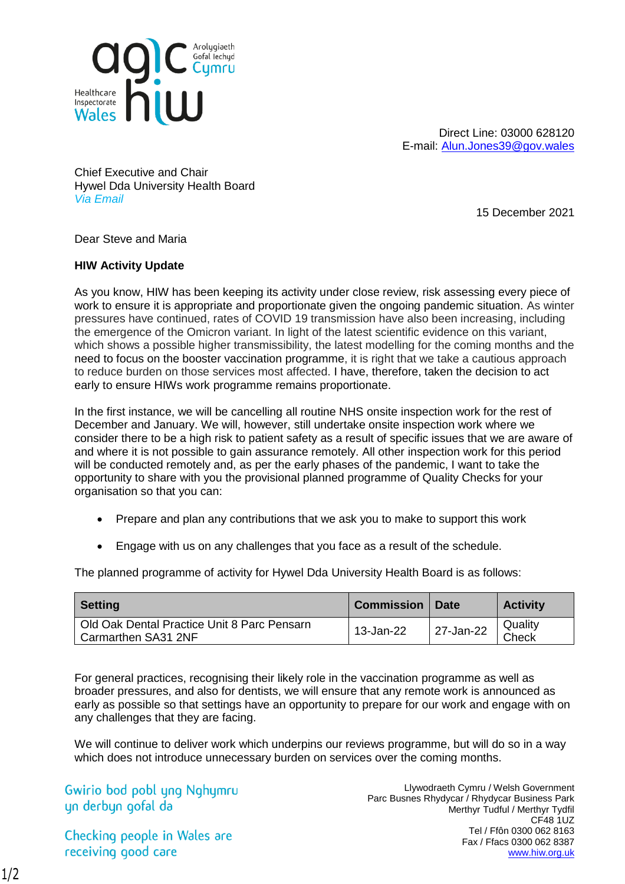

Direct Line: 03000 628120 E-mail: [Alun.Jones39@gov.wales](mailto:Alun.Jones39@gov.wales)

Chief Executive and Chair Hywel Dda University Health Board *Via Email*

15 December 2021

Dear Steve and Maria

## **HIW Activity Update**

As you know, HIW has been keeping its activity under close review, risk assessing every piece of work to ensure it is appropriate and proportionate given the ongoing pandemic situation. As winter pressures have continued, rates of COVID 19 transmission have also been increasing, including the emergence of the Omicron variant. In light of the latest scientific evidence on this variant, which shows a possible higher transmissibility, the latest modelling for the coming months and the need to focus on the booster vaccination programme, it is right that we take a cautious approach to reduce burden on those services most affected. I have, therefore, taken the decision to act early to ensure HIWs work programme remains proportionate.

In the first instance, we will be cancelling all routine NHS onsite inspection work for the rest of December and January. We will, however, still undertake onsite inspection work where we consider there to be a high risk to patient safety as a result of specific issues that we are aware of and where it is not possible to gain assurance remotely. All other inspection work for this period will be conducted remotely and, as per the early phases of the pandemic, I want to take the opportunity to share with you the provisional planned programme of Quality Checks for your organisation so that you can:

- Prepare and plan any contributions that we ask you to make to support this work
- Engage with us on any challenges that you face as a result of the schedule.

The planned programme of activity for Hywel Dda University Health Board is as follows:

| <b>Setting</b>                                                     | Commission | <b>Date</b> | <b>Activity</b>  |
|--------------------------------------------------------------------|------------|-------------|------------------|
| Old Oak Dental Practice Unit 8 Parc Pensarn<br>Carmarthen SA31 2NF | 13-Jan-22  | 27-Jan-22   | Quality<br>Check |

For general practices, recognising their likely role in the vaccination programme as well as broader pressures, and also for dentists, we will ensure that any remote work is announced as early as possible so that settings have an opportunity to prepare for our work and engage with on any challenges that they are facing.

We will continue to deliver work which underpins our reviews programme, but will do so in a way which does not introduce unnecessary burden on services over the coming months.

Gwirio bod pobl yng Nghymru yn derbyn gofal da

Checking people in Wales are receiving good care

Llywodraeth Cymru / Welsh Government Parc Busnes Rhydycar / Rhydycar Business Park Merthyr Tudful / Merthyr Tydfil CF48 1UZ Tel / Ffôn 0300 062 8163 Fax / Ffacs 0300 062 8387 [www.hiw.org.uk](http://www.hiw.org.uk/)